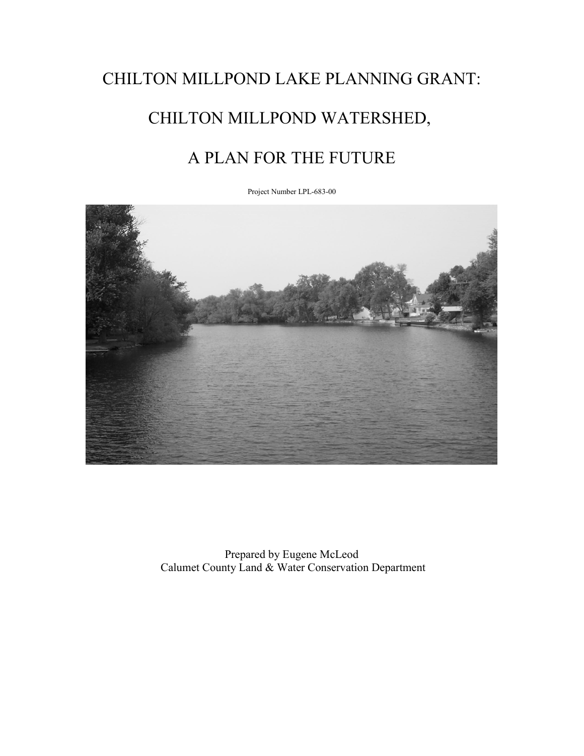# CHILTON MILLPOND LAKE PLANNING GRANT: CHILTON MILLPOND WATERSHED, A PLAN FOR THE FUTURE

Project Number LPL-683-00



Prepared by Eugene McLeod Calumet County Land & Water Conservation Department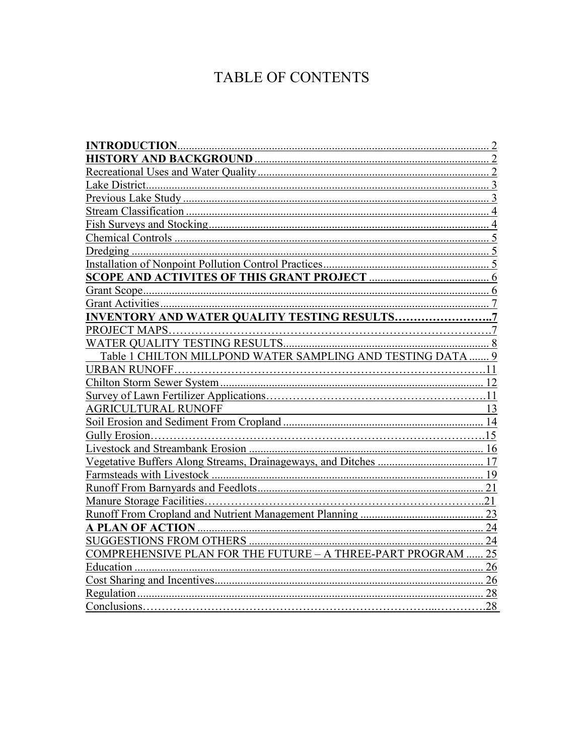### TABLE OF CONTENTS

| <b>INTRODUCTION.</b>                                        |     |
|-------------------------------------------------------------|-----|
| <b>HISTORY AND BACKGROUND </b>                              |     |
|                                                             |     |
|                                                             |     |
|                                                             |     |
|                                                             | 4   |
|                                                             | 4   |
|                                                             |     |
|                                                             |     |
| Installation of Nonpoint Pollution Control Practices        |     |
| SCOPE AND ACTIVITES OF THIS GRANT PROJECT                   |     |
|                                                             | 6   |
| <b>Grant Activities</b>                                     |     |
| <b>INVENTORY AND WATER QUALITY TESTING RESULTS</b>          |     |
| PROJECT MAPS                                                |     |
|                                                             | 8   |
| Table 1 CHILTON MILLPOND WATER SAMPLING AND TESTING DATA    |     |
| URBAN RUNOFF.                                               |     |
|                                                             |     |
|                                                             | 11  |
| <b>AGRICULTURAL RUNOFF</b>                                  | 13  |
|                                                             | 14  |
|                                                             | .15 |
|                                                             | 16  |
| Vegetative Buffers Along Streams, Drainageways, and Ditches | 17  |
|                                                             | 19  |
|                                                             | 21  |
|                                                             | 21  |
|                                                             | 23  |
| <b>A PLAN OF ACTION</b>                                     | 24  |
| <b>SUGGESTIONS FROM OTHERS</b>                              | 24  |
| COMPREHENSIVE PLAN FOR THE FUTURE - A THREE-PART PROGRAM.   | 25  |
|                                                             | 26  |
|                                                             | 26  |
|                                                             | 28  |
| Conclusions                                                 | .28 |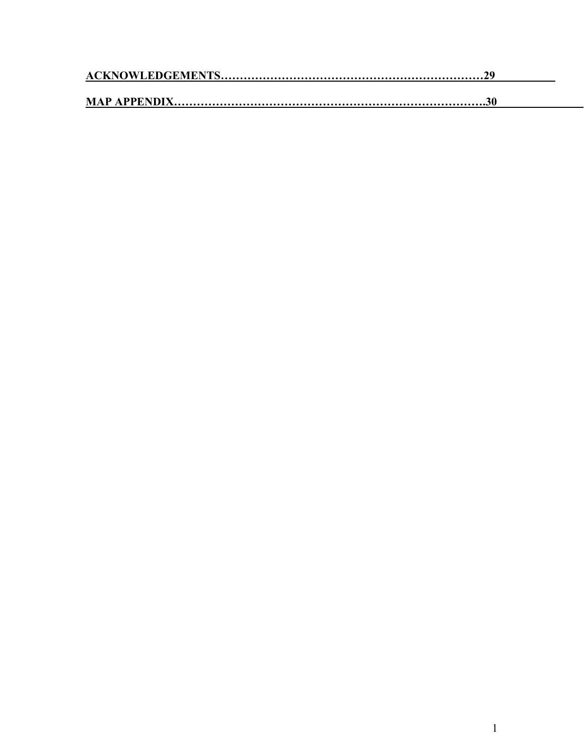<span id="page-2-2"></span><span id="page-2-1"></span><span id="page-2-0"></span>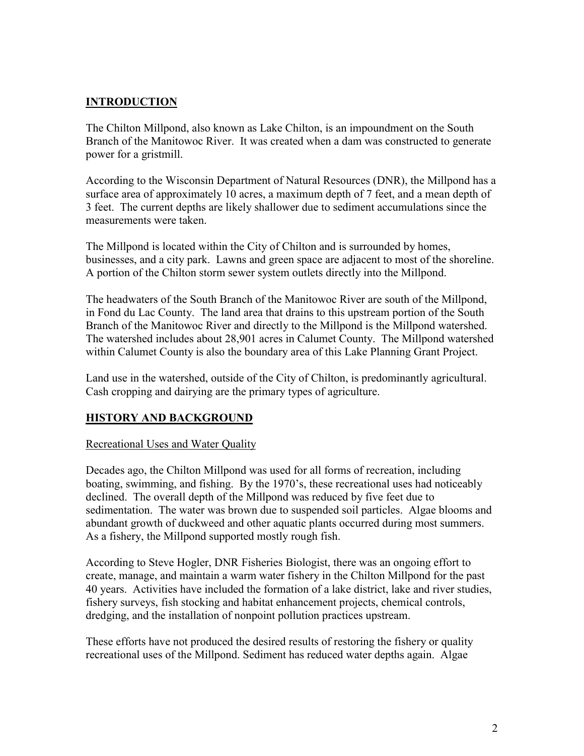#### <span id="page-3-0"></span>**INTRODUCTION**

The Chilton Millpond, also known as Lake Chilton, is an impoundment on the South Branch of the Manitowoc River. It was created when a dam was constructed to generate power for a gristmill.

According to the Wisconsin Department of Natural Resources (DNR), the Millpond has a surface area of approximately 10 acres, a maximum depth of 7 feet, and a mean depth of 3 feet. The current depths are likely shallower due to sediment accumulations since the measurements were taken.

The Millpond is located within the City of Chilton and is surrounded by homes, businesses, and a city park. Lawns and green space are adjacent to most of the shoreline. A portion of the Chilton storm sewer system outlets directly into the Millpond.

The headwaters of the South Branch of the Manitowoc River are south of the Millpond, in Fond du Lac County. The land area that drains to this upstream portion of the South Branch of the Manitowoc River and directly to the Millpond is the Millpond watershed. The watershed includes about 28,901 acres in Calumet County. The Millpond watershed within Calumet County is also the boundary area of this Lake Planning Grant Project.

<span id="page-3-1"></span>Land use in the watershed, outside of the City of Chilton, is predominantly agricultural. Cash cropping and dairying are the primary types of agriculture.

#### **HISTORY AND BACKGROUND**

#### Recreational Uses and Water Quality

Decades ago, the Chilton Millpond was used for all forms of recreation, including boating, swimming, and fishing. By the 1970's, these recreational uses had noticeably declined. The overall depth of the Millpond was reduced by five feet due to sedimentation. The water was brown due to suspended soil particles. Algae blooms and abundant growth of duckweed and other aquatic plants occurred during most summers. As a fishery, the Millpond supported mostly rough fish.

According to Steve Hogler, DNR Fisheries Biologist, there was an ongoing effort to create, manage, and maintain a warm water fishery in the Chilton Millpond for the past 40 years. Activities have included the formation of a lake district, lake and river studies, fishery surveys, fish stocking and habitat enhancement projects, chemical controls, dredging, and the installation of nonpoint pollution practices upstream.

These efforts have not produced the desired results of restoring the fishery or quality recreational uses of the Millpond. Sediment has reduced water depths again. Algae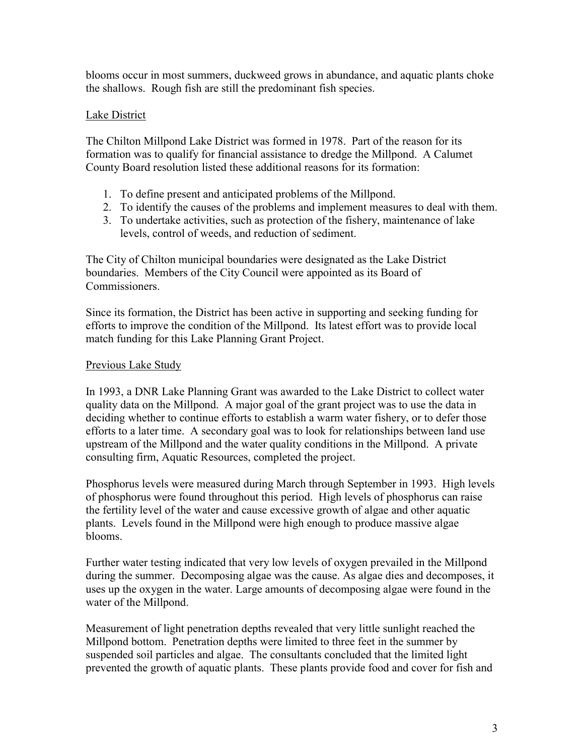blooms occur in most summers, duckweed grows in abundance, and aquatic plants choke the shallows. Rough fish are still the predominant fish species.

#### Lake District

The Chilton Millpond Lake District was formed in 1978. Part of the reason for its formation was to qualify for financial assistance to dredge the Millpond. A Calumet County Board resolution listed these additional reasons for its formation:

- 1. To define present and anticipated problems of the Millpond.
- 2. To identify the causes of the problems and implement measures to deal with them.
- 3. To undertake activities, such as protection of the fishery, maintenance of lake levels, control of weeds, and reduction of sediment.

The City of Chilton municipal boundaries were designated as the Lake District boundaries. Members of the City Council were appointed as its Board of Commissioners.

Since its formation, the District has been active in supporting and seeking funding for efforts to improve the condition of the Millpond. Its latest effort was to provide local match funding for this Lake Planning Grant Project.

#### Previous Lake Study

In 1993, a DNR Lake Planning Grant was awarded to the Lake District to collect water quality data on the Millpond. A major goal of the grant project was to use the data in deciding whether to continue efforts to establish a warm water fishery, or to defer those efforts to a later time. A secondary goal was to look for relationships between land use upstream of the Millpond and the water quality conditions in the Millpond. A private consulting firm, Aquatic Resources, completed the project.

<span id="page-4-0"></span>Phosphorus levels were measured during March through September in 1993. High levels of phosphorus were found throughout this period. High levels of phosphorus can raise the fertility level of the water and cause excessive growth of algae and other aquatic plants. Levels found in the Millpond were high enough to produce massive algae blooms.

Further water testing indicated that very low levels of oxygen prevailed in the Millpond during the summer. Decomposing algae was the cause. As algae dies and decomposes, it uses up the oxygen in the water. Large amounts of decomposing algae were found in the water of the Millpond.

<span id="page-4-1"></span>Measurement of light penetration depths revealed that very little sunlight reached the Millpond bottom. Penetration depths were limited to three feet in the summer by suspended soil particles and algae. The consultants concluded that the limited light prevented the growth of aquatic plants. These plants provide food and cover for fish and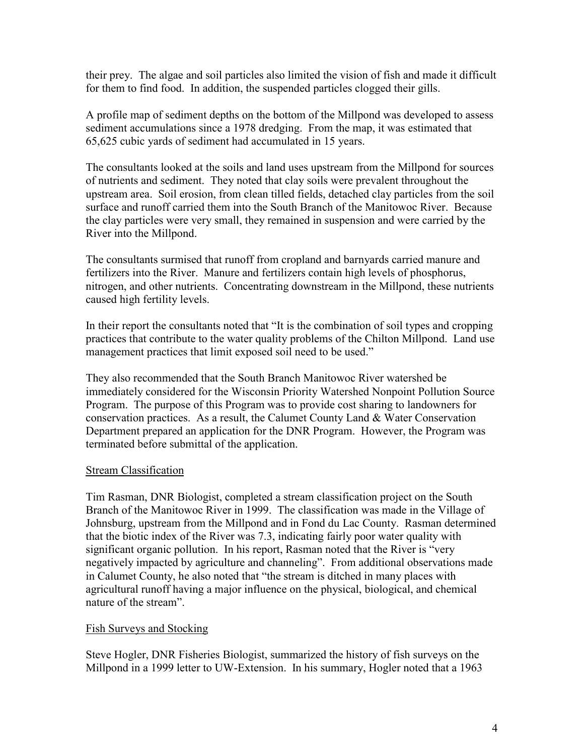their prey. The algae and soil particles also limited the vision of fish and made it difficult for them to find food. In addition, the suspended particles clogged their gills.

A profile map of sediment depths on the bottom of the Millpond was developed to assess sediment accumulations since a 1978 dredging. From the map, it was estimated that 65,625 cubic yards of sediment had accumulated in 15 years.

The consultants looked at the soils and land uses upstream from the Millpond for sources of nutrients and sediment. They noted that clay soils were prevalent throughout the upstream area. Soil erosion, from clean tilled fields, detached clay particles from the soil surface and runoff carried them into the South Branch of the Manitowoc River. Because the clay particles were very small, they remained in suspension and were carried by the River into the Millpond.

The consultants surmised that runoff from cropland and barnyards carried manure and fertilizers into the River. Manure and fertilizers contain high levels of phosphorus, nitrogen, and other nutrients. Concentrating downstream in the Millpond, these nutrients caused high fertility levels.

<span id="page-5-0"></span>In their report the consultants noted that "It is the combination of soil types and cropping practices that contribute to the water quality problems of the Chilton Millpond. Land use management practices that limit exposed soil need to be used."

<span id="page-5-1"></span>They also recommended that the South Branch Manitowoc River watershed be immediately considered for the Wisconsin Priority Watershed Nonpoint Pollution Source Program. The purpose of this Program was to provide cost sharing to landowners for conservation practices. As a result, the Calumet County Land & Water Conservation Department prepared an application for the DNR Program. However, the Program was terminated before submittal of the application.

#### Stream Classification

Tim Rasman, DNR Biologist, completed a stream classification project on the South Branch of the Manitowoc River in 1999. The classification was made in the Village of Johnsburg, upstream from the Millpond and in Fond du Lac County. Rasman determined that the biotic index of the River was 7.3, indicating fairly poor water quality with significant organic pollution. In his report, Rasman noted that the River is "very negatively impacted by agriculture and channeling". From additional observations made in Calumet County, he also noted that "the stream is ditched in many places with agricultural runoff having a major influence on the physical, biological, and chemical nature of the stream".

#### <span id="page-5-2"></span>Fish Surveys and Stocking

Steve Hogler, DNR Fisheries Biologist, summarized the history of fish surveys on the Millpond in a 1999 letter to UW-Extension. In his summary, Hogler noted that a 1963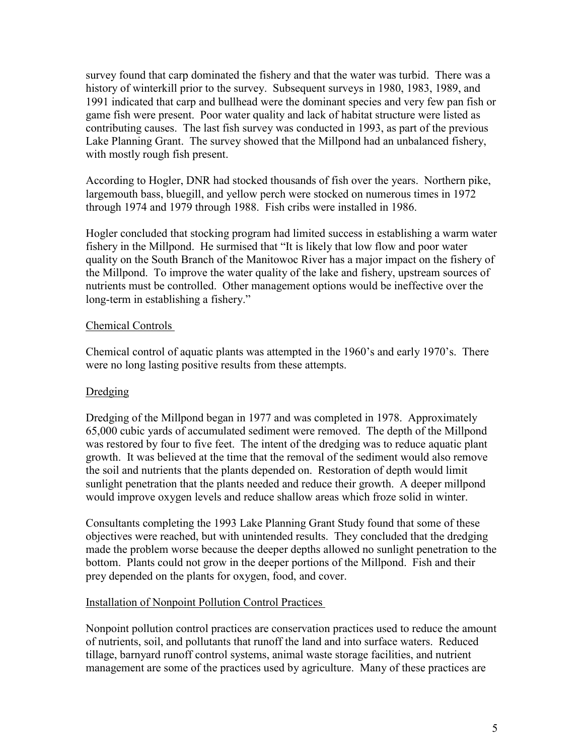<span id="page-6-0"></span>survey found that carp dominated the fishery and that the water was turbid. There was a history of winterkill prior to the survey. Subsequent surveys in 1980, 1983, 1989, and 1991 indicated that carp and bullhead were the dominant species and very few pan fish or game fish were present. Poor water quality and lack of habitat structure were listed as contributing causes. The last fish survey was conducted in 1993, as part of the previous Lake Planning Grant. The survey showed that the Millpond had an unbalanced fishery, with mostly rough fish present.

<span id="page-6-1"></span>According to Hogler, DNR had stocked thousands of fish over the years. Northern pike, largemouth bass, bluegill, and yellow perch were stocked on numerous times in 1972 through 1974 and 1979 through 1988. Fish cribs were installed in 1986.

Hogler concluded that stocking program had limited success in establishing a warm water fishery in the Millpond. He surmised that "It is likely that low flow and poor water quality on the South Branch of the Manitowoc River has a major impact on the fishery of the Millpond. To improve the water quality of the lake and fishery, upstream sources of nutrients must be controlled. Other management options would be ineffective over the long-term in establishing a fishery."

#### Chemical Controls

Chemical control of aquatic plants was attempted in the 1960's and early 1970's. There were no long lasting positive results from these attempts.

#### Dredging

Dredging of the Millpond began in 1977 and was completed in 1978. Approximately 65,000 cubic yards of accumulated sediment were removed. The depth of the Millpond was restored by four to five feet. The intent of the dredging was to reduce aquatic plant growth. It was believed at the time that the removal of the sediment would also remove the soil and nutrients that the plants depended on. Restoration of depth would limit sunlight penetration that the plants needed and reduce their growth. A deeper millpond would improve oxygen levels and reduce shallow areas which froze solid in winter.

Consultants completing the 1993 Lake Planning Grant Study found that some of these objectives were reached, but with unintended results. They concluded that the dredging made the problem worse because the deeper depths allowed no sunlight penetration to the bottom. Plants could not grow in the deeper portions of the Millpond. Fish and their prey depended on the plants for oxygen, food, and cover.

#### Installation of Nonpoint Pollution Control Practices

Nonpoint pollution control practices are conservation practices used to reduce the amount of nutrients, soil, and pollutants that runoff the land and into surface waters. Reduced tillage, barnyard runoff control systems, animal waste storage facilities, and nutrient management are some of the practices used by agriculture. Many of these practices are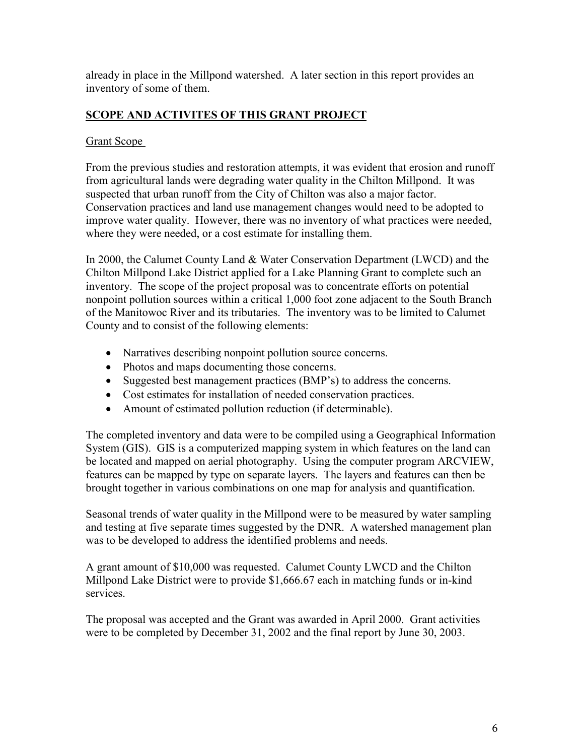<span id="page-7-0"></span>already in place in the Millpond watershed. A later section in this report provides an inventory of some of them.

#### **SCOPE AND ACTIVITES OF THIS GRANT PROJECT**

#### Grant Scope

From the previous studies and restoration attempts, it was evident that erosion and runoff from agricultural lands were degrading water quality in the Chilton Millpond. It was suspected that urban runoff from the City of Chilton was also a major factor. Conservation practices and land use management changes would need to be adopted to improve water quality. However, there was no inventory of what practices were needed, where they were needed, or a cost estimate for installing them.

In 2000, the Calumet County Land & Water Conservation Department (LWCD) and the Chilton Millpond Lake District applied for a Lake Planning Grant to complete such an inventory. The scope of the project proposal was to concentrate efforts on potential nonpoint pollution sources within a critical 1,000 foot zone adjacent to the South Branch of the Manitowoc River and its tributaries. The inventory was to be limited to Calumet County and to consist of the following elements:

- Narratives describing nonpoint pollution source concerns.
- Photos and maps documenting those concerns.
- Suggested best management practices (BMP's) to address the concerns.
- Cost estimates for installation of needed conservation practices.
- Amount of estimated pollution reduction (if determinable).

The completed inventory and data were to be compiled using a Geographical Information System (GIS). GIS is a computerized mapping system in which features on the land can be located and mapped on aerial photography. Using the computer program ARCVIEW, features can be mapped by type on separate layers. The layers and features can then be brought together in various combinations on one map for analysis and quantification.

Seasonal trends of water quality in the Millpond were to be measured by water sampling and testing at five separate times suggested by the DNR. A watershed management plan was to be developed to address the identified problems and needs.

A grant amount of \$10,000 was requested. Calumet County LWCD and the Chilton Millpond Lake District were to provide \$1,666.67 each in matching funds or in-kind services.

The proposal was accepted and the Grant was awarded in April 2000. Grant activities were to be completed by December 31, 2002 and the final report by June 30, 2003.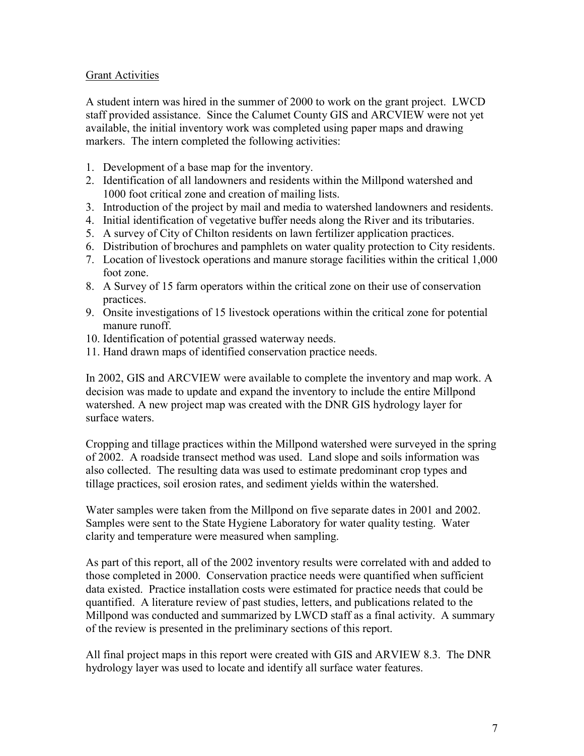#### Grant Activities

A student intern was hired in the summer of 2000 to work on the grant project. LWCD staff provided assistance. Since the Calumet County GIS and ARCVIEW were not yet available, the initial inventory work was completed using paper maps and drawing markers. The intern completed the following activities:

- 1. Development of a base map for the inventory.
- 2. Identification of all landowners and residents within the Millpond watershed and 1000 foot critical zone and creation of mailing lists.
- 3. Introduction of the project by mail and media to watershed landowners and residents.
- 4. Initial identification of vegetative buffer needs along the River and its tributaries.
- 5. A survey of City of Chilton residents on lawn fertilizer application practices.
- 6. Distribution of brochures and pamphlets on water quality protection to City residents.
- 7. Location of livestock operations and manure storage facilities within the critical 1,000 foot zone.
- 8. A Survey of 15 farm operators within the critical zone on their use of conservation practices.
- 9. Onsite investigations of 15 livestock operations within the critical zone for potential manure runoff.
- 10. Identification of potential grassed waterway needs.
- 11. Hand drawn maps of identified conservation practice needs.

In 2002, GIS and ARCVIEW were available to complete the inventory and map work. A decision was made to update and expand the inventory to include the entire Millpond watershed. A new project map was created with the DNR GIS hydrology layer for surface waters.

<span id="page-8-0"></span>Cropping and tillage practices within the Millpond watershed were surveyed in the spring of 2002. A roadside transect method was used. Land slope and soils information was also collected. The resulting data was used to estimate predominant crop types and tillage practices, soil erosion rates, and sediment yields within the watershed.

Water samples were taken from the Millpond on five separate dates in 2001 and 2002. Samples were sent to the State Hygiene Laboratory for water quality testing. Water clarity and temperature were measured when sampling.

As part of this report, all of the 2002 inventory results were correlated with and added to those completed in 2000. Conservation practice needs were quantified when sufficient data existed. Practice installation costs were estimated for practice needs that could be quantified. A literature review of past studies, letters, and publications related to the Millpond was conducted and summarized by LWCD staff as a final activity. A summary of the review is presented in the preliminary sections of this report.

All final project maps in this report were created with GIS and ARVIEW 8.3. The DNR hydrology layer was used to locate and identify all surface water features.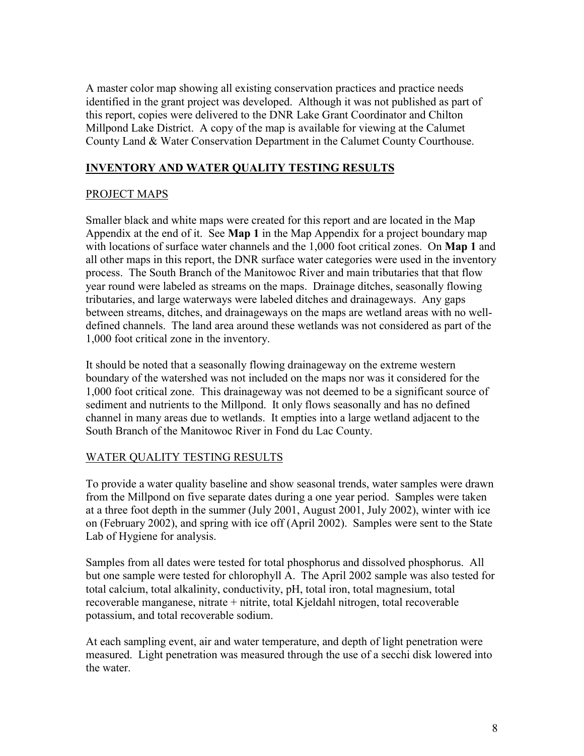<span id="page-9-0"></span>A master color map showing all existing conservation practices and practice needs identified in the grant project was developed. Although it was not published as part of this report, copies were delivered to the DNR Lake Grant Coordinator and Chilton Millpond Lake District. A copy of the map is available for viewing at the Calumet County Land & Water Conservation Department in the Calumet County Courthouse.

#### **INVENTORY AND WATER QUALITY TESTING RESULTS**

#### PROJECT MAPS

Smaller black and white maps were created for this report and are located in the Map Appendix at the end of it. See **Map 1** in the Map Appendix for a project boundary map with locations of surface water channels and the 1,000 foot critical zones. On **Map 1** and all other maps in this report, the DNR surface water categories were used in the inventory process. The South Branch of the Manitowoc River and main tributaries that that flow year round were labeled as streams on the maps. Drainage ditches, seasonally flowing tributaries, and large waterways were labeled ditches and drainageways. Any gaps between streams, ditches, and drainageways on the maps are wetland areas with no welldefined channels. The land area around these wetlands was not considered as part of the 1,000 foot critical zone in the inventory.

It should be noted that a seasonally flowing drainageway on the extreme western boundary of the watershed was not included on the maps nor was it considered for the 1,000 foot critical zone. This drainageway was not deemed to be a significant source of sediment and nutrients to the Millpond. It only flows seasonally and has no defined channel in many areas due to wetlands. It empties into a large wetland adjacent to the South Branch of the Manitowoc River in Fond du Lac County.

#### WATER QUALITY TESTING RESULTS

To provide a water quality baseline and show seasonal trends, water samples were drawn from the Millpond on five separate dates during a one year period. Samples were taken at a three foot depth in the summer (July 2001, August 2001, July 2002), winter with ice on (February 2002), and spring with ice off (April 2002). Samples were sent to the State Lab of Hygiene for analysis.

Samples from all dates were tested for total phosphorus and dissolved phosphorus. All but one sample were tested for chlorophyll A. The April 2002 sample was also tested for total calcium, total alkalinity, conductivity, pH, total iron, total magnesium, total recoverable manganese, nitrate + nitrite, total Kjeldahl nitrogen, total recoverable potassium, and total recoverable sodium.

At each sampling event, air and water temperature, and depth of light penetration were measured. Light penetration was measured through the use of a secchi disk lowered into the water.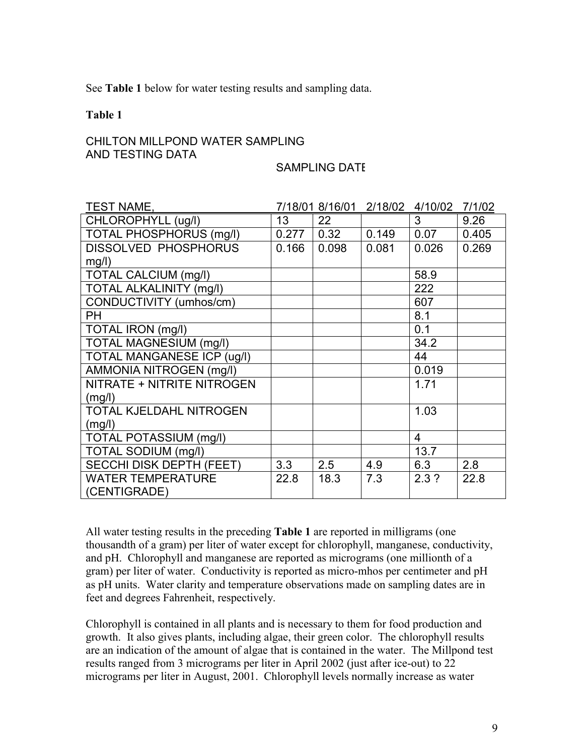See **Table 1** below for water testing results and sampling data.

#### **Table 1**

#### CHILTON MILLPOND WATER SAMPLING AND TESTING DATA

#### SAMPLING DATE

| <b>TEST NAME,</b>                 |                 | 7/18/01 8/16/01 |       | 2/18/02 4/10/02 | 7/1/02 |
|-----------------------------------|-----------------|-----------------|-------|-----------------|--------|
| CHLOROPHYLL (ug/l)                | 13 <sup>°</sup> | 22 <sub>2</sub> |       | 3 <sup>1</sup>  | 9.26   |
| <b>TOTAL PHOSPHORUS (mg/l)</b>    | 0.277           | 0.32            | 0.149 | 0.07            | 0.405  |
| <b>DISSOLVED PHOSPHORUS</b>       | 0.166           | 0.098           | 0.081 | 0.026           | 0.269  |
| mg/l)                             |                 |                 |       |                 |        |
| TOTAL CALCIUM (mg/l)              |                 |                 |       | 58.9            |        |
| <b>TOTAL ALKALINITY (mg/l)</b>    |                 |                 |       | 222             |        |
| CONDUCTIVITY (umhos/cm)           |                 |                 |       | 607             |        |
| <b>PH</b>                         |                 |                 |       | 8.1             |        |
| TOTAL IRON (mg/l)                 |                 |                 |       | 0.1             |        |
| <b>TOTAL MAGNESIUM (mg/l)</b>     |                 |                 |       | 34.2            |        |
| <b>TOTAL MANGANESE ICP (ug/l)</b> |                 |                 |       | 44              |        |
| AMMONIA NITROGEN (mg/l)           |                 |                 |       | 0.019           |        |
| NITRATE + NITRITE NITROGEN        |                 |                 |       | 1.71            |        |
| (mg/l)                            |                 |                 |       |                 |        |
| <b>TOTAL KJELDAHL NITROGEN</b>    |                 |                 |       | 1.03            |        |
| (mg/l)                            |                 |                 |       |                 |        |
| <b>TOTAL POTASSIUM (mg/l)</b>     |                 |                 |       | 4               |        |
| TOTAL SODIUM (mg/l)               |                 |                 |       | 13.7            |        |
| <b>SECCHI DISK DEPTH (FEET)</b>   | 3.3             | 2.5             | 4.9   | 6.3             | 2.8    |
| <b>WATER TEMPERATURE</b>          | 22.8            | 18.3            | 7.3   | 2.3?            | 22.8   |
| (CENTIGRADE)                      |                 |                 |       |                 |        |

All water testing results in the preceding **Table 1** are reported in milligrams (one thousandth of a gram) per liter of water except for chlorophyll, manganese, conductivity, and pH. Chlorophyll and manganese are reported as micrograms (one millionth of a gram) per liter of water. Conductivity is reported as micro-mhos per centimeter and pH as pH units. Water clarity and temperature observations made on sampling dates are in feet and degrees Fahrenheit, respectively.

Chlorophyll is contained in all plants and is necessary to them for food production and growth. It also gives plants, including algae, their green color. The chlorophyll results are an indication of the amount of algae that is contained in the water. The Millpond test results ranged from 3 micrograms per liter in April 2002 (just after ice-out) to 22 micrograms per liter in August, 2001. Chlorophyll levels normally increase as water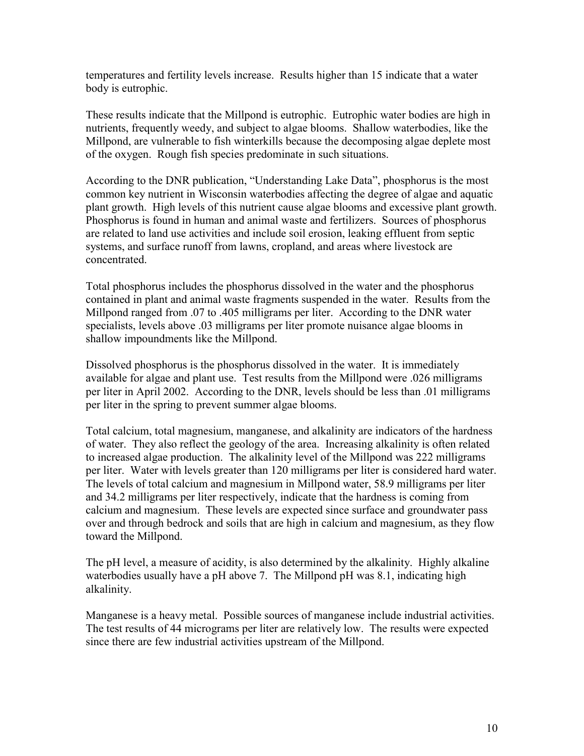temperatures and fertility levels increase. Results higher than 15 indicate that a water body is eutrophic.

These results indicate that the Millpond is eutrophic. Eutrophic water bodies are high in nutrients, frequently weedy, and subject to algae blooms. Shallow waterbodies, like the Millpond, are vulnerable to fish winterkills because the decomposing algae deplete most of the oxygen. Rough fish species predominate in such situations.

According to the DNR publication, "Understanding Lake Data", phosphorus is the most common key nutrient in Wisconsin waterbodies affecting the degree of algae and aquatic plant growth. High levels of this nutrient cause algae blooms and excessive plant growth. Phosphorus is found in human and animal waste and fertilizers. Sources of phosphorus are related to land use activities and include soil erosion, leaking effluent from septic systems, and surface runoff from lawns, cropland, and areas where livestock are concentrated.

Total phosphorus includes the phosphorus dissolved in the water and the phosphorus contained in plant and animal waste fragments suspended in the water. Results from the Millpond ranged from .07 to .405 milligrams per liter. According to the DNR water specialists, levels above .03 milligrams per liter promote nuisance algae blooms in shallow impoundments like the Millpond.

Dissolved phosphorus is the phosphorus dissolved in the water. It is immediately available for algae and plant use. Test results from the Millpond were .026 milligrams per liter in April 2002. According to the DNR, levels should be less than .01 milligrams per liter in the spring to prevent summer algae blooms.

Total calcium, total magnesium, manganese, and alkalinity are indicators of the hardness of water. They also reflect the geology of the area. Increasing alkalinity is often related to increased algae production. The alkalinity level of the Millpond was 222 milligrams per liter. Water with levels greater than 120 milligrams per liter is considered hard water. The levels of total calcium and magnesium in Millpond water, 58.9 milligrams per liter and 34.2 milligrams per liter respectively, indicate that the hardness is coming from calcium and magnesium. These levels are expected since surface and groundwater pass over and through bedrock and soils that are high in calcium and magnesium, as they flow toward the Millpond.

The pH level, a measure of acidity, is also determined by the alkalinity. Highly alkaline waterbodies usually have a pH above 7. The Millpond pH was 8.1, indicating high alkalinity.

Manganese is a heavy metal. Possible sources of manganese include industrial activities. The test results of 44 micrograms per liter are relatively low. The results were expected since there are few industrial activities upstream of the Millpond.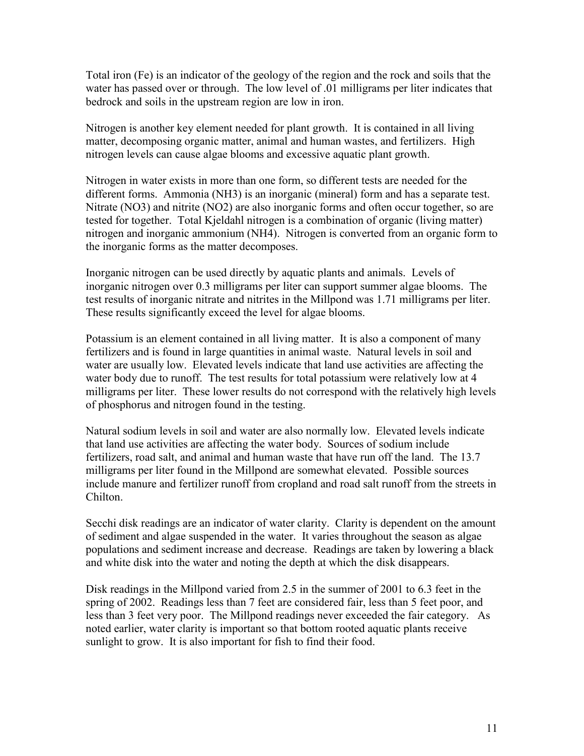Total iron (Fe) is an indicator of the geology of the region and the rock and soils that the water has passed over or through. The low level of .01 milligrams per liter indicates that bedrock and soils in the upstream region are low in iron.

Nitrogen is another key element needed for plant growth. It is contained in all living matter, decomposing organic matter, animal and human wastes, and fertilizers. High nitrogen levels can cause algae blooms and excessive aquatic plant growth.

<span id="page-12-0"></span>Nitrogen in water exists in more than one form, so different tests are needed for the different forms. Ammonia (NH3) is an inorganic (mineral) form and has a separate test. Nitrate (NO3) and nitrite (NO2) are also inorganic forms and often occur together, so are tested for together. Total Kjeldahl nitrogen is a combination of organic (living matter) nitrogen and inorganic ammonium (NH4). Nitrogen is converted from an organic form to the inorganic forms as the matter decomposes.

Inorganic nitrogen can be used directly by aquatic plants and animals. Levels of inorganic nitrogen over 0.3 milligrams per liter can support summer algae blooms. The test results of inorganic nitrate and nitrites in the Millpond was 1.71 milligrams per liter. These results significantly exceed the level for algae blooms.

Potassium is an element contained in all living matter. It is also a component of many fertilizers and is found in large quantities in animal waste. Natural levels in soil and water are usually low. Elevated levels indicate that land use activities are affecting the water body due to runoff. The test results for total potassium were relatively low at 4 milligrams per liter. These lower results do not correspond with the relatively high levels of phosphorus and nitrogen found in the testing.

Natural sodium levels in soil and water are also normally low. Elevated levels indicate that land use activities are affecting the water body. Sources of sodium include fertilizers, road salt, and animal and human waste that have run off the land. The 13.7 milligrams per liter found in the Millpond are somewhat elevated. Possible sources include manure and fertilizer runoff from cropland and road salt runoff from the streets in Chilton.

Secchi disk readings are an indicator of water clarity. Clarity is dependent on the amount of sediment and algae suspended in the water. It varies throughout the season as algae populations and sediment increase and decrease. Readings are taken by lowering a black and white disk into the water and noting the depth at which the disk disappears.

Disk readings in the Millpond varied from 2.5 in the summer of 2001 to 6.3 feet in the spring of 2002. Readings less than 7 feet are considered fair, less than 5 feet poor, and less than 3 feet very poor. The Millpond readings never exceeded the fair category. As noted earlier, water clarity is important so that bottom rooted aquatic plants receive sunlight to grow. It is also important for fish to find their food.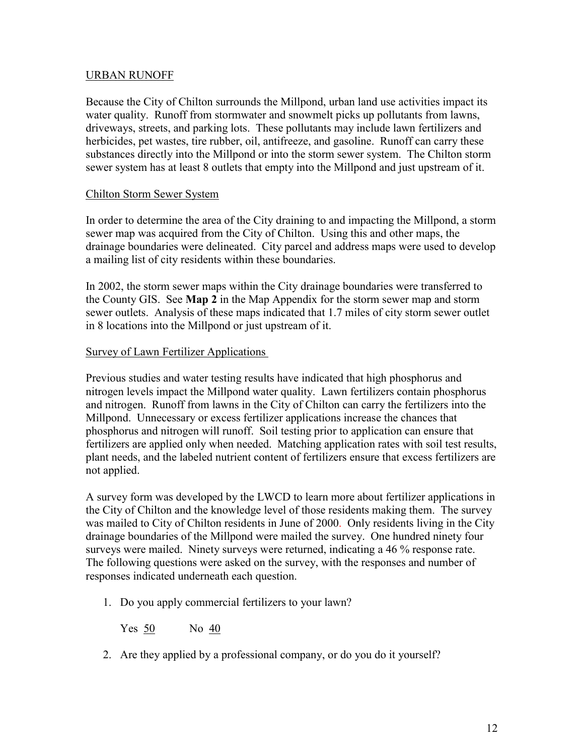#### URBAN RUNOFF

Because the City of Chilton surrounds the Millpond, urban land use activities impact its water quality. Runoff from stormwater and snowmelt picks up pollutants from lawns, driveways, streets, and parking lots. These pollutants may include lawn fertilizers and herbicides, pet wastes, tire rubber, oil, antifreeze, and gasoline. Runoff can carry these substances directly into the Millpond or into the storm sewer system. The Chilton storm sewer system has at least 8 outlets that empty into the Millpond and just upstream of it.

#### Chilton Storm Sewer System

In order to determine the area of the City draining to and impacting the Millpond, a storm sewer map was acquired from the City of Chilton. Using this and other maps, the drainage boundaries were delineated. City parcel and address maps were used to develop a mailing list of city residents within these boundaries.

In 2002, the storm sewer maps within the City drainage boundaries were transferred to the County GIS. See **Map 2** in the Map Appendix for the storm sewer map and storm sewer outlets. Analysis of these maps indicated that 1.7 miles of city storm sewer outlet in 8 locations into the Millpond or just upstream of it.

#### Survey of Lawn Fertilizer Applications

Previous studies and water testing results have indicated that high phosphorus and nitrogen levels impact the Millpond water quality. Lawn fertilizers contain phosphorus and nitrogen. Runoff from lawns in the City of Chilton can carry the fertilizers into the Millpond. Unnecessary or excess fertilizer applications increase the chances that phosphorus and nitrogen will runoff. Soil testing prior to application can ensure that fertilizers are applied only when needed. Matching application rates with soil test results, plant needs, and the labeled nutrient content of fertilizers ensure that excess fertilizers are not applied.

A survey form was developed by the LWCD to learn more about fertilizer applications in the City of Chilton and the knowledge level of those residents making them. The survey was mailed to City of Chilton residents in June of 2000. Only residents living in the City drainage boundaries of the Millpond were mailed the survey. One hundred ninety four surveys were mailed. Ninety surveys were returned, indicating a 46 % response rate. The following questions were asked on the survey, with the responses and number of responses indicated underneath each question.

1. Do you apply commercial fertilizers to your lawn?

Yes 50 No 40

2. Are they applied by a professional company, or do you do it yourself?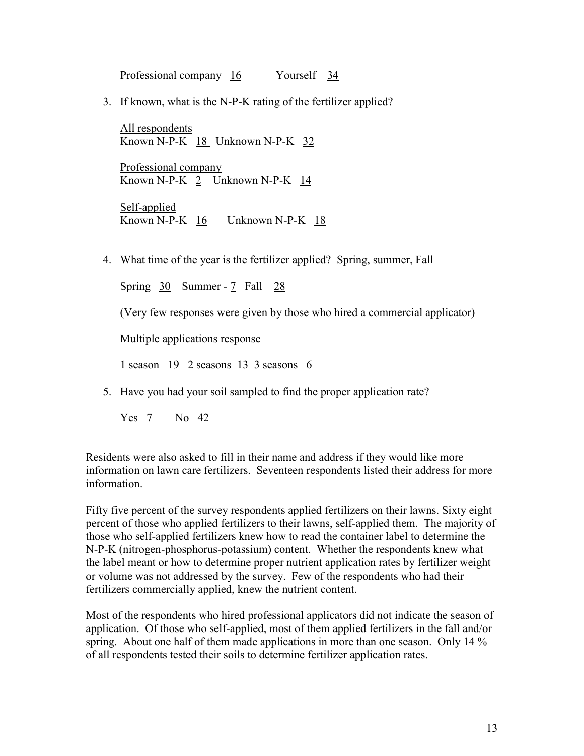Professional company 16 Yourself 34

3. If known, what is the N-P-K rating of the fertilizer applied?

All respondents Known N-P-K 18 Unknown N-P-K 32

Professional company Known N-P-K 2 Unknown N-P-K 14

Self-applied Known N-P-K 16 Unknown N-P-K 18

4. What time of the year is the fertilizer applied? Spring, summer, Fall

Spring  $30$  Summer - 7 Fall – 28

<span id="page-14-0"></span>(Very few responses were given by those who hired a commercial applicator)

Multiple applications response

1 season 19 2 seasons 13 3 seasons 6

5. Have you had your soil sampled to find the proper application rate?

Yes 7 No 42

Residents were also asked to fill in their name and address if they would like more information on lawn care fertilizers. Seventeen respondents listed their address for more information.

Fifty five percent of the survey respondents applied fertilizers on their lawns. Sixty eight percent of those who applied fertilizers to their lawns, self-applied them. The majority of those who self-applied fertilizers knew how to read the container label to determine the N-P-K (nitrogen-phosphorus-potassium) content. Whether the respondents knew what the label meant or how to determine proper nutrient application rates by fertilizer weight or volume was not addressed by the survey. Few of the respondents who had their fertilizers commercially applied, knew the nutrient content.

Most of the respondents who hired professional applicators did not indicate the season of application. Of those who self-applied, most of them applied fertilizers in the fall and/or spring. About one half of them made applications in more than one season. Only 14 % of all respondents tested their soils to determine fertilizer application rates.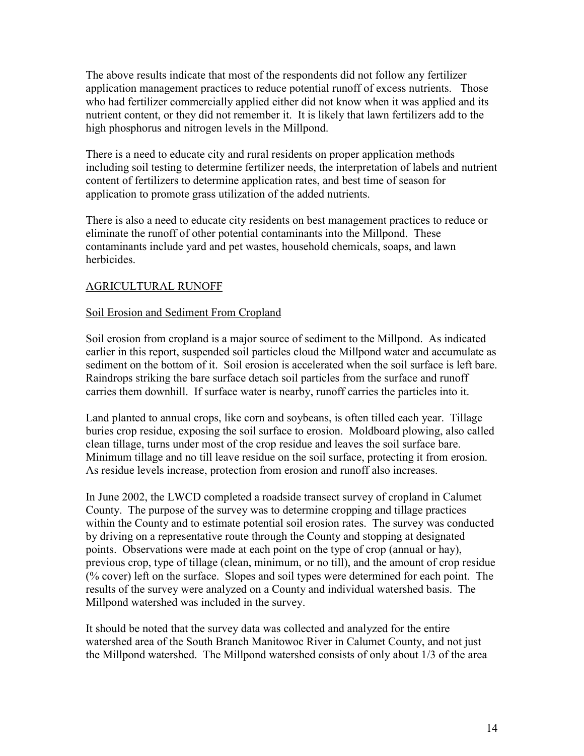The above results indicate that most of the respondents did not follow any fertilizer application management practices to reduce potential runoff of excess nutrients. Those who had fertilizer commercially applied either did not know when it was applied and its nutrient content, or they did not remember it. It is likely that lawn fertilizers add to the high phosphorus and nitrogen levels in the Millpond.

There is a need to educate city and rural residents on proper application methods including soil testing to determine fertilizer needs, the interpretation of labels and nutrient content of fertilizers to determine application rates, and best time of season for application to promote grass utilization of the added nutrients.

There is also a need to educate city residents on best management practices to reduce or eliminate the runoff of other potential contaminants into the Millpond. These contaminants include yard and pet wastes, household chemicals, soaps, and lawn herbicides.

#### AGRICULTURAL RUNOFF

#### Soil Erosion and Sediment From Cropland

Soil erosion from cropland is a major source of sediment to the Millpond. As indicated earlier in this report, suspended soil particles cloud the Millpond water and accumulate as sediment on the bottom of it. Soil erosion is accelerated when the soil surface is left bare. Raindrops striking the bare surface detach soil particles from the surface and runoff carries them downhill. If surface water is nearby, runoff carries the particles into it.

Land planted to annual crops, like corn and soybeans, is often tilled each year. Tillage buries crop residue, exposing the soil surface to erosion. Moldboard plowing, also called clean tillage, turns under most of the crop residue and leaves the soil surface bare. Minimum tillage and no till leave residue on the soil surface, protecting it from erosion. As residue levels increase, protection from erosion and runoff also increases.

In June 2002, the LWCD completed a roadside transect survey of cropland in Calumet County. The purpose of the survey was to determine cropping and tillage practices within the County and to estimate potential soil erosion rates. The survey was conducted by driving on a representative route through the County and stopping at designated points. Observations were made at each point on the type of crop (annual or hay), previous crop, type of tillage (clean, minimum, or no till), and the amount of crop residue (% cover) left on the surface. Slopes and soil types were determined for each point. The results of the survey were analyzed on a County and individual watershed basis. The Millpond watershed was included in the survey.

It should be noted that the survey data was collected and analyzed for the entire watershed area of the South Branch Manitowoc River in Calumet County, and not just the Millpond watershed. The Millpond watershed consists of only about 1/3 of the area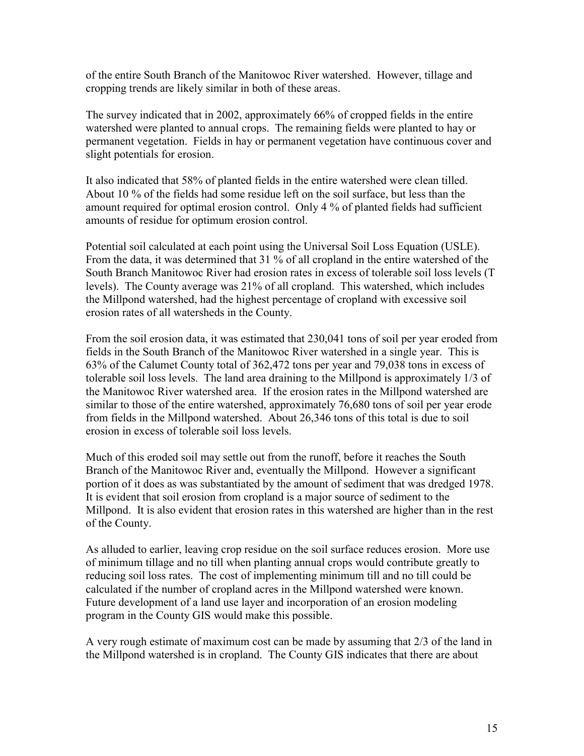of the entire South Branch of the Manitowoc River watershed. However, tillage and cropping trends are likely similar in both of these areas.

The survey indicated that in 2002, approximately 66% of cropped fields in the entire watershed were planted to annual crops. The remaining fields were planted to hay or permanent vegetation. Fields in hay or permanent vegetation have continuous cover and slight potentials for erosion.

It also indicated that 58% of planted fields in the entire watershed were clean tilled. About 10 % of the fields had some residue left on the soil surface, but less than the amount required for optimal erosion control. Only 4 % of planted fields had sufficient amounts of residue for optimum erosion control.

Potential soil calculated at each point using the Universal Soil Loss Equation (USLE). From the data, it was determined that 31 % of all cropland in the entire watershed of the South Branch Manitowoc River had erosion rates in excess of tolerable soil loss levels (T levels). The County average was 21% of all cropland. This watershed, which includes the Millpond watershed, had the highest percentage of cropland with excessive soil erosion rates of all watersheds in the County.

From the soil erosion data, it was estimated that 230,041 tons of soil per year eroded from fields in the South Branch of the Manitowoc River watershed in a single year. This is 63% of the Calumet County total of 362,472 tons per year and 79,038 tons in excess of tolerable soil loss levels. The land area draining to the Millpond is approximately 1/3 of the Manitowoc River watershed area. If the erosion rates in the Millpond watershed are similar to those of the entire watershed, approximately 76,680 tons of soil per year erode from fields in the Millpond watershed. About 26,346 tons of this total is due to soil erosion in excess of tolerable soil loss levels.

Much of this eroded soil may settle out from the runoff, before it reaches the South Branch of the Manitowoc River and, eventually the Millpond. However a significant portion of it does as was substantiated by the amount of sediment that was dredged 1978. It is evident that soil erosion from cropland is a major source of sediment to the Millpond. It is also evident that erosion rates in this watershed are higher than in the rest of the County.

As alluded to earlier, leaving crop residue on the soil surface reduces erosion. More use of minimum tillage and no till when planting annual crops would contribute greatly to reducing soil loss rates. The cost of implementing minimum till and no till could be calculated if the number of cropland acres in the Millpond watershed were known. Future development of a land use layer and incorporation of an erosion modeling program in the County GIS would make this possible.

<span id="page-16-0"></span>A very rough estimate of maximum cost can be made by assuming that 2/3 of the land in the Millpond watershed is in cropland. The County GIS indicates that there are about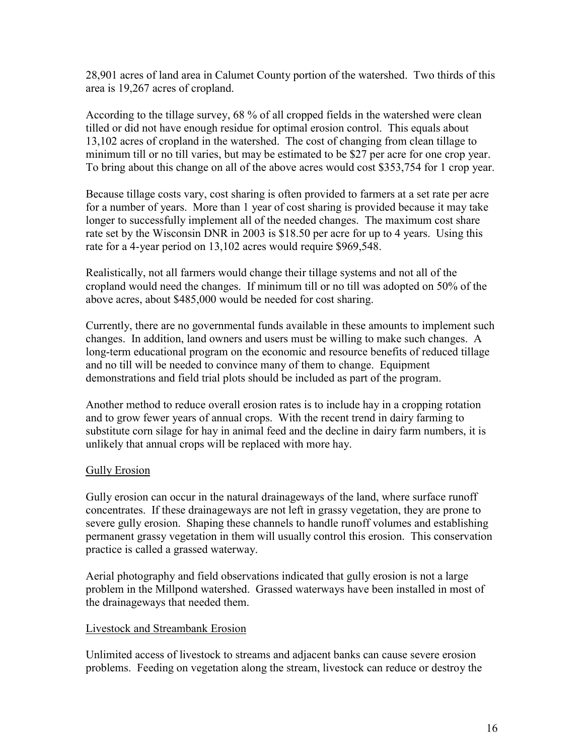28,901 acres of land area in Calumet County portion of the watershed. Two thirds of this area is 19,267 acres of cropland.

According to the tillage survey, 68 % of all cropped fields in the watershed were clean tilled or did not have enough residue for optimal erosion control. This equals about 13,102 acres of cropland in the watershed. The cost of changing from clean tillage to minimum till or no till varies, but may be estimated to be \$27 per acre for one crop year. To bring about this change on all of the above acres would cost \$353,754 for 1 crop year.

<span id="page-17-0"></span>Because tillage costs vary, cost sharing is often provided to farmers at a set rate per acre for a number of years. More than 1 year of cost sharing is provided because it may take longer to successfully implement all of the needed changes. The maximum cost share rate set by the Wisconsin DNR in 2003 is \$18.50 per acre for up to 4 years. Using this rate for a 4-year period on 13,102 acres would require \$969,548.

Realistically, not all farmers would change their tillage systems and not all of the cropland would need the changes. If minimum till or no till was adopted on 50% of the above acres, about \$485,000 would be needed for cost sharing.

Currently, there are no governmental funds available in these amounts to implement such changes. In addition, land owners and users must be willing to make such changes. A long-term educational program on the economic and resource benefits of reduced tillage and no till will be needed to convince many of them to change. Equipment demonstrations and field trial plots should be included as part of the program.

Another method to reduce overall erosion rates is to include hay in a cropping rotation and to grow fewer years of annual crops. With the recent trend in dairy farming to substitute corn silage for hay in animal feed and the decline in dairy farm numbers, it is unlikely that annual crops will be replaced with more hay.

#### Gully Erosion

Gully erosion can occur in the natural drainageways of the land, where surface runoff concentrates. If these drainageways are not left in grassy vegetation, they are prone to severe gully erosion. Shaping these channels to handle runoff volumes and establishing permanent grassy vegetation in them will usually control this erosion. This conservation practice is called a grassed waterway.

Aerial photography and field observations indicated that gully erosion is not a large problem in the Millpond watershed. Grassed waterways have been installed in most of the drainageways that needed them.

#### Livestock and Streambank Erosion

Unlimited access of livestock to streams and adjacent banks can cause severe erosion problems. Feeding on vegetation along the stream, livestock can reduce or destroy the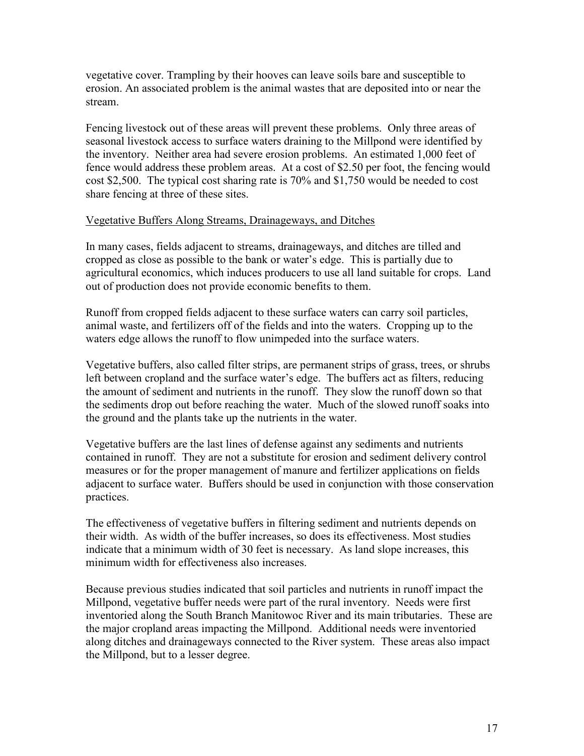vegetative cover. Trampling by their hooves can leave soils bare and susceptible to erosion. An associated problem is the animal wastes that are deposited into or near the stream.

Fencing livestock out of these areas will prevent these problems. Only three areas of seasonal livestock access to surface waters draining to the Millpond were identified by the inventory. Neither area had severe erosion problems. An estimated 1,000 feet of fence would address these problem areas. At a cost of \$2.50 per foot, the fencing would cost \$2,500. The typical cost sharing rate is 70% and \$1,750 would be needed to cost share fencing at three of these sites.

#### Vegetative Buffers Along Streams, Drainageways, and Ditches

In many cases, fields adjacent to streams, drainageways, and ditches are tilled and cropped as close as possible to the bank or water's edge. This is partially due to agricultural economics, which induces producers to use all land suitable for crops. Land out of production does not provide economic benefits to them.

Runoff from cropped fields adjacent to these surface waters can carry soil particles, animal waste, and fertilizers off of the fields and into the waters. Cropping up to the waters edge allows the runoff to flow unimpeded into the surface waters.

Vegetative buffers, also called filter strips, are permanent strips of grass, trees, or shrubs left between cropland and the surface water's edge. The buffers act as filters, reducing the amount of sediment and nutrients in the runoff. They slow the runoff down so that the sediments drop out before reaching the water. Much of the slowed runoff soaks into the ground and the plants take up the nutrients in the water.

Vegetative buffers are the last lines of defense against any sediments and nutrients contained in runoff. They are not a substitute for erosion and sediment delivery control measures or for the proper management of manure and fertilizer applications on fields adjacent to surface water. Buffers should be used in conjunction with those conservation practices.

The effectiveness of vegetative buffers in filtering sediment and nutrients depends on their width. As width of the buffer increases, so does its effectiveness. Most studies indicate that a minimum width of 30 feet is necessary. As land slope increases, this minimum width for effectiveness also increases.

Because previous studies indicated that soil particles and nutrients in runoff impact the Millpond, vegetative buffer needs were part of the rural inventory. Needs were first inventoried along the South Branch Manitowoc River and its main tributaries. These are the major cropland areas impacting the Millpond. Additional needs were inventoried along ditches and drainageways connected to the River system. These areas also impact the Millpond, but to a lesser degree.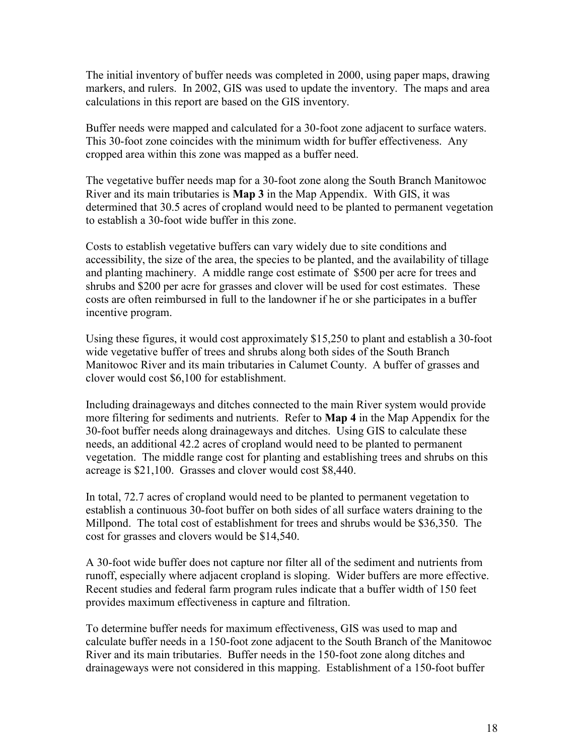The initial inventory of buffer needs was completed in 2000, using paper maps, drawing markers, and rulers. In 2002, GIS was used to update the inventory. The maps and area calculations in this report are based on the GIS inventory.

Buffer needs were mapped and calculated for a 30-foot zone adjacent to surface waters. This 30-foot zone coincides with the minimum width for buffer effectiveness. Any cropped area within this zone was mapped as a buffer need.

The vegetative buffer needs map for a 30-foot zone along the South Branch Manitowoc River and its main tributaries is **Map 3** in the Map Appendix. With GIS, it was determined that 30.5 acres of cropland would need to be planted to permanent vegetation to establish a 30-foot wide buffer in this zone.

Costs to establish vegetative buffers can vary widely due to site conditions and accessibility, the size of the area, the species to be planted, and the availability of tillage and planting machinery. A middle range cost estimate of \$500 per acre for trees and shrubs and \$200 per acre for grasses and clover will be used for cost estimates. These costs are often reimbursed in full to the landowner if he or she participates in a buffer incentive program.

Using these figures, it would cost approximately \$15,250 to plant and establish a 30-foot wide vegetative buffer of trees and shrubs along both sides of the South Branch Manitowoc River and its main tributaries in Calumet County. A buffer of grasses and clover would cost \$6,100 for establishment.

Including drainageways and ditches connected to the main River system would provide more filtering for sediments and nutrients. Refer to **Map 4** in the Map Appendix for the 30-foot buffer needs along drainageways and ditches. Using GIS to calculate these needs, an additional 42.2 acres of cropland would need to be planted to permanent vegetation. The middle range cost for planting and establishing trees and shrubs on this acreage is \$21,100. Grasses and clover would cost \$8,440.

In total, 72.7 acres of cropland would need to be planted to permanent vegetation to establish a continuous 30-foot buffer on both sides of all surface waters draining to the Millpond. The total cost of establishment for trees and shrubs would be \$36,350. The cost for grasses and clovers would be \$14,540.

A 30-foot wide buffer does not capture nor filter all of the sediment and nutrients from runoff, especially where adjacent cropland is sloping. Wider buffers are more effective. Recent studies and federal farm program rules indicate that a buffer width of 150 feet provides maximum effectiveness in capture and filtration.

<span id="page-19-0"></span>To determine buffer needs for maximum effectiveness, GIS was used to map and calculate buffer needs in a 150-foot zone adjacent to the South Branch of the Manitowoc River and its main tributaries. Buffer needs in the 150-foot zone along ditches and drainageways were not considered in this mapping. Establishment of a 150-foot buffer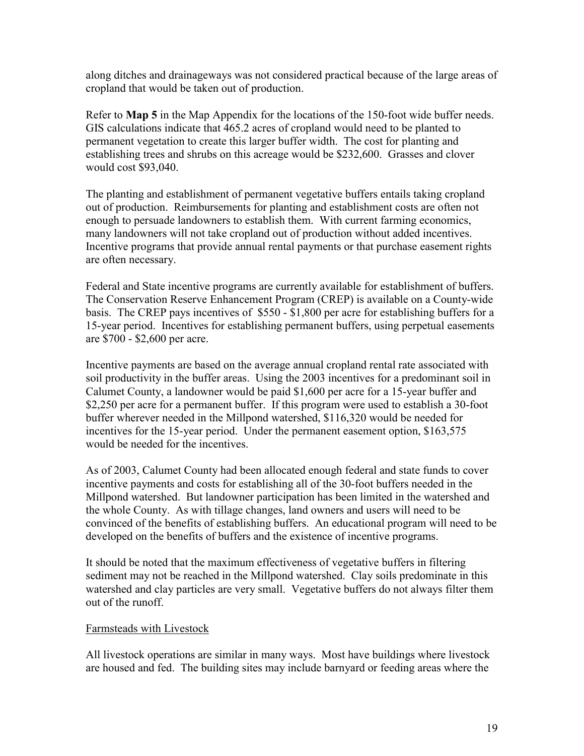along ditches and drainageways was not considered practical because of the large areas of cropland that would be taken out of production.

Refer to **Map 5** in the Map Appendix for the locations of the 150-foot wide buffer needs. GIS calculations indicate that 465.2 acres of cropland would need to be planted to permanent vegetation to create this larger buffer width. The cost for planting and establishing trees and shrubs on this acreage would be \$232,600. Grasses and clover would cost \$93,040.

The planting and establishment of permanent vegetative buffers entails taking cropland out of production. Reimbursements for planting and establishment costs are often not enough to persuade landowners to establish them. With current farming economics, many landowners will not take cropland out of production without added incentives. Incentive programs that provide annual rental payments or that purchase easement rights are often necessary.

Federal and State incentive programs are currently available for establishment of buffers. The Conservation Reserve Enhancement Program (CREP) is available on a County-wide basis. The CREP pays incentives of \$550 - \$1,800 per acre for establishing buffers for a 15-year period. Incentives for establishing permanent buffers, using perpetual easements are \$700 - \$2,600 per acre.

Incentive payments are based on the average annual cropland rental rate associated with soil productivity in the buffer areas. Using the 2003 incentives for a predominant soil in Calumet County, a landowner would be paid \$1,600 per acre for a 15-year buffer and \$2,250 per acre for a permanent buffer. If this program were used to establish a 30-foot buffer wherever needed in the Millpond watershed, \$116,320 would be needed for incentives for the 15-year period. Under the permanent easement option, \$163,575 would be needed for the incentives.

As of 2003, Calumet County had been allocated enough federal and state funds to cover incentive payments and costs for establishing all of the 30-foot buffers needed in the Millpond watershed. But landowner participation has been limited in the watershed and the whole County. As with tillage changes, land owners and users will need to be convinced of the benefits of establishing buffers. An educational program will need to be developed on the benefits of buffers and the existence of incentive programs.

It should be noted that the maximum effectiveness of vegetative buffers in filtering sediment may not be reached in the Millpond watershed. Clay soils predominate in this watershed and clay particles are very small. Vegetative buffers do not always filter them out of the runoff.

#### Farmsteads with Livestock

All livestock operations are similar in many ways. Most have buildings where livestock are housed and fed. The building sites may include barnyard or feeding areas where the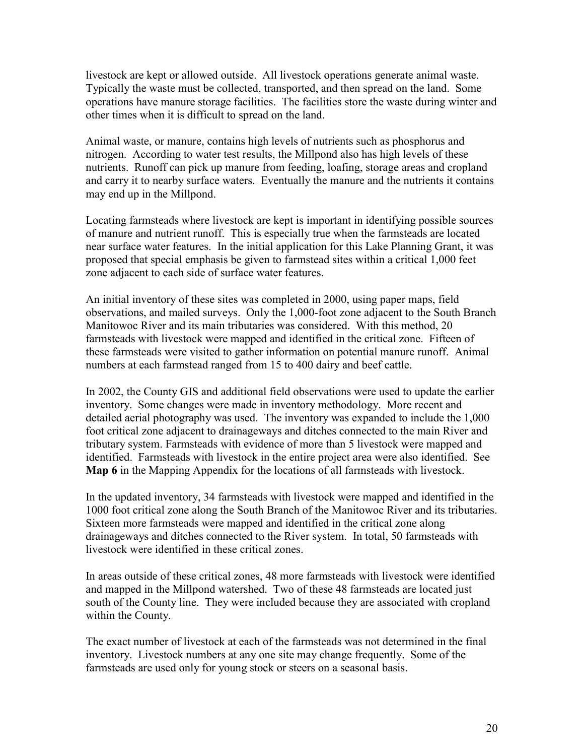livestock are kept or allowed outside. All livestock operations generate animal waste. Typically the waste must be collected, transported, and then spread on the land. Some operations have manure storage facilities. The facilities store the waste during winter and other times when it is difficult to spread on the land.

<span id="page-21-0"></span>Animal waste, or manure, contains high levels of nutrients such as phosphorus and nitrogen. According to water test results, the Millpond also has high levels of these nutrients. Runoff can pick up manure from feeding, loafing, storage areas and cropland and carry it to nearby surface waters. Eventually the manure and the nutrients it contains may end up in the Millpond.

Locating farmsteads where livestock are kept is important in identifying possible sources of manure and nutrient runoff. This is especially true when the farmsteads are located near surface water features. In the initial application for this Lake Planning Grant, it was proposed that special emphasis be given to farmstead sites within a critical 1,000 feet zone adjacent to each side of surface water features.

An initial inventory of these sites was completed in 2000, using paper maps, field observations, and mailed surveys. Only the 1,000-foot zone adjacent to the South Branch Manitowoc River and its main tributaries was considered. With this method, 20 farmsteads with livestock were mapped and identified in the critical zone. Fifteen of these farmsteads were visited to gather information on potential manure runoff. Animal numbers at each farmstead ranged from 15 to 400 dairy and beef cattle.

In 2002, the County GIS and additional field observations were used to update the earlier inventory. Some changes were made in inventory methodology. More recent and detailed aerial photography was used. The inventory was expanded to include the 1,000 foot critical zone adjacent to drainageways and ditches connected to the main River and tributary system. Farmsteads with evidence of more than 5 livestock were mapped and identified. Farmsteads with livestock in the entire project area were also identified. See **Map 6** in the Mapping Appendix for the locations of all farmsteads with livestock.

In the updated inventory, 34 farmsteads with livestock were mapped and identified in the 1000 foot critical zone along the South Branch of the Manitowoc River and its tributaries. Sixteen more farmsteads were mapped and identified in the critical zone along drainageways and ditches connected to the River system. In total, 50 farmsteads with livestock were identified in these critical zones.

In areas outside of these critical zones, 48 more farmsteads with livestock were identified and mapped in the Millpond watershed. Two of these 48 farmsteads are located just south of the County line. They were included because they are associated with cropland within the County.

The exact number of livestock at each of the farmsteads was not determined in the final inventory. Livestock numbers at any one site may change frequently. Some of the farmsteads are used only for young stock or steers on a seasonal basis.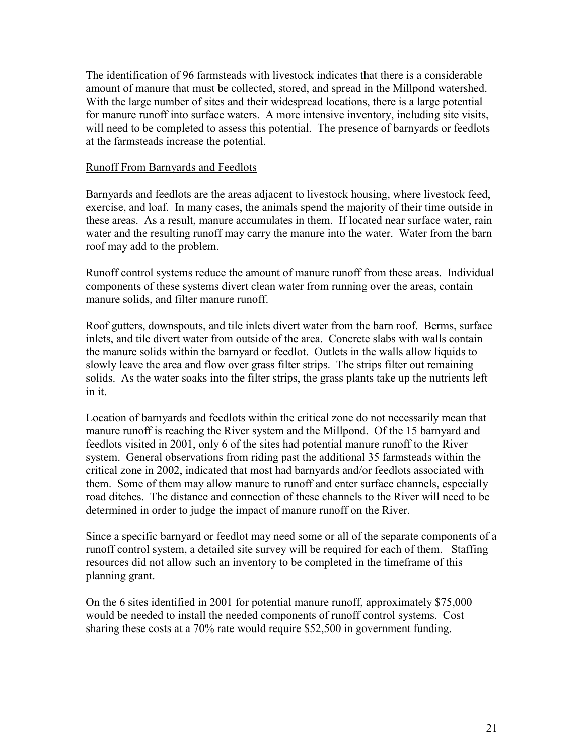The identification of 96 farmsteads with livestock indicates that there is a considerable amount of manure that must be collected, stored, and spread in the Millpond watershed. With the large number of sites and their widespread locations, there is a large potential for manure runoff into surface waters. A more intensive inventory, including site visits, will need to be completed to assess this potential. The presence of barnyards or feedlots at the farmsteads increase the potential.

#### Runoff From Barnyards and Feedlots

Barnyards and feedlots are the areas adjacent to livestock housing, where livestock feed, exercise, and loaf. In many cases, the animals spend the majority of their time outside in these areas. As a result, manure accumulates in them. If located near surface water, rain water and the resulting runoff may carry the manure into the water. Water from the barn roof may add to the problem.

Runoff control systems reduce the amount of manure runoff from these areas. Individual components of these systems divert clean water from running over the areas, contain manure solids, and filter manure runoff.

Roof gutters, downspouts, and tile inlets divert water from the barn roof. Berms, surface inlets, and tile divert water from outside of the area. Concrete slabs with walls contain the manure solids within the barnyard or feedlot. Outlets in the walls allow liquids to slowly leave the area and flow over grass filter strips. The strips filter out remaining solids. As the water soaks into the filter strips, the grass plants take up the nutrients left in it.

Location of barnyards and feedlots within the critical zone do not necessarily mean that manure runoff is reaching the River system and the Millpond. Of the 15 barnyard and feedlots visited in 2001, only 6 of the sites had potential manure runoff to the River system. General observations from riding past the additional 35 farmsteads within the critical zone in 2002, indicated that most had barnyards and/or feedlots associated with them. Some of them may allow manure to runoff and enter surface channels, especially road ditches. The distance and connection of these channels to the River will need to be determined in order to judge the impact of manure runoff on the River.

Since a specific barnyard or feedlot may need some or all of the separate components of a runoff control system, a detailed site survey will be required for each of them. Staffing resources did not allow such an inventory to be completed in the timeframe of this planning grant.

On the 6 sites identified in 2001 for potential manure runoff, approximately \$75,000 would be needed to install the needed components of runoff control systems. Cost sharing these costs at a 70% rate would require \$52,500 in government funding.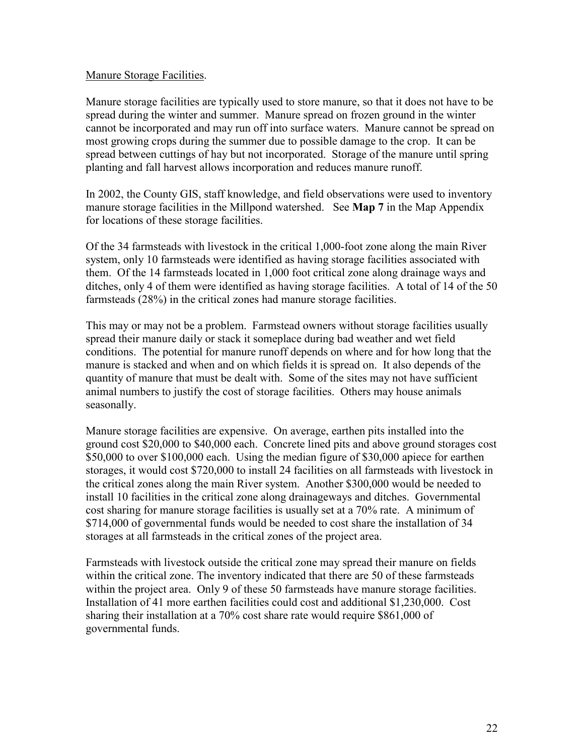#### Manure Storage Facilities.

<span id="page-23-0"></span>Manure storage facilities are typically used to store manure, so that it does not have to be spread during the winter and summer. Manure spread on frozen ground in the winter cannot be incorporated and may run off into surface waters. Manure cannot be spread on most growing crops during the summer due to possible damage to the crop. It can be spread between cuttings of hay but not incorporated. Storage of the manure until spring planting and fall harvest allows incorporation and reduces manure runoff.

In 2002, the County GIS, staff knowledge, and field observations were used to inventory manure storage facilities in the Millpond watershed. See **Map 7** in the Map Appendix for locations of these storage facilities.

Of the 34 farmsteads with livestock in the critical 1,000-foot zone along the main River system, only 10 farmsteads were identified as having storage facilities associated with them. Of the 14 farmsteads located in 1,000 foot critical zone along drainage ways and ditches, only 4 of them were identified as having storage facilities. A total of 14 of the 50 farmsteads (28%) in the critical zones had manure storage facilities.

This may or may not be a problem. Farmstead owners without storage facilities usually spread their manure daily or stack it someplace during bad weather and wet field conditions. The potential for manure runoff depends on where and for how long that the manure is stacked and when and on which fields it is spread on. It also depends of the quantity of manure that must be dealt with. Some of the sites may not have sufficient animal numbers to justify the cost of storage facilities. Others may house animals seasonally.

Manure storage facilities are expensive. On average, earthen pits installed into the ground cost \$20,000 to \$40,000 each. Concrete lined pits and above ground storages cost \$50,000 to over \$100,000 each. Using the median figure of \$30,000 apiece for earthen storages, it would cost \$720,000 to install 24 facilities on all farmsteads with livestock in the critical zones along the main River system. Another \$300,000 would be needed to install 10 facilities in the critical zone along drainageways and ditches. Governmental cost sharing for manure storage facilities is usually set at a 70% rate. A minimum of \$714,000 of governmental funds would be needed to cost share the installation of 34 storages at all farmsteads in the critical zones of the project area.

Farmsteads with livestock outside the critical zone may spread their manure on fields within the critical zone. The inventory indicated that there are 50 of these farmsteads within the project area. Only 9 of these 50 farmsteads have manure storage facilities. Installation of 41 more earthen facilities could cost and additional \$1,230,000. Cost sharing their installation at a 70% cost share rate would require \$861,000 of governmental funds.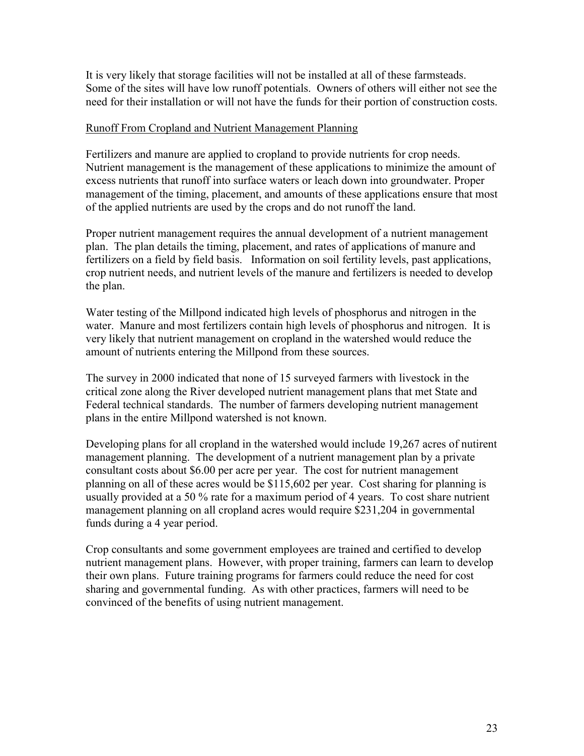<span id="page-24-1"></span><span id="page-24-0"></span>It is very likely that storage facilities will not be installed at all of these farmsteads. Some of the sites will have low runoff potentials. Owners of others will either not see the need for their installation or will not have the funds for their portion of construction costs.

#### Runoff From Cropland and Nutrient Management Planning

Fertilizers and manure are applied to cropland to provide nutrients for crop needs. Nutrient management is the management of these applications to minimize the amount of excess nutrients that runoff into surface waters or leach down into groundwater. Proper management of the timing, placement, and amounts of these applications ensure that most of the applied nutrients are used by the crops and do not runoff the land.

Proper nutrient management requires the annual development of a nutrient management plan. The plan details the timing, placement, and rates of applications of manure and fertilizers on a field by field basis. Information on soil fertility levels, past applications, crop nutrient needs, and nutrient levels of the manure and fertilizers is needed to develop the plan.

Water testing of the Millpond indicated high levels of phosphorus and nitrogen in the water. Manure and most fertilizers contain high levels of phosphorus and nitrogen. It is very likely that nutrient management on cropland in the watershed would reduce the amount of nutrients entering the Millpond from these sources.

The survey in 2000 indicated that none of 15 surveyed farmers with livestock in the critical zone along the River developed nutrient management plans that met State and Federal technical standards. The number of farmers developing nutrient management plans in the entire Millpond watershed is not known.

Developing plans for all cropland in the watershed would include 19,267 acres of nutirent management planning. The development of a nutrient management plan by a private consultant costs about \$6.00 per acre per year. The cost for nutrient management planning on all of these acres would be \$115,602 per year. Cost sharing for planning is usually provided at a 50 % rate for a maximum period of 4 years. To cost share nutrient management planning on all cropland acres would require \$231,204 in governmental funds during a 4 year period.

Crop consultants and some government employees are trained and certified to develop nutrient management plans. However, with proper training, farmers can learn to develop their own plans. Future training programs for farmers could reduce the need for cost sharing and governmental funding. As with other practices, farmers will need to be convinced of the benefits of using nutrient management.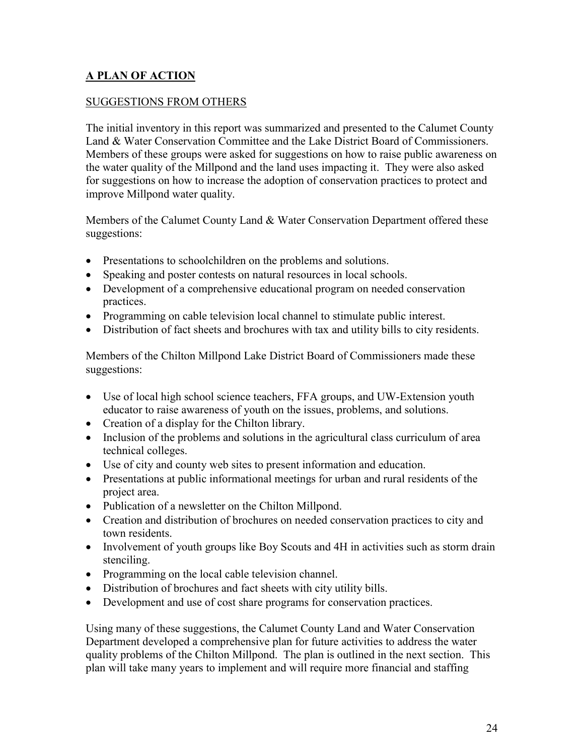#### **A PLAN OF ACTION**

#### SUGGESTIONS FROM OTHERS

<span id="page-25-0"></span>The initial inventory in this report was summarized and presented to the Calumet County Land & Water Conservation Committee and the Lake District Board of Commissioners. Members of these groups were asked for suggestions on how to raise public awareness on the water quality of the Millpond and the land uses impacting it. They were also asked for suggestions on how to increase the adoption of conservation practices to protect and improve Millpond water quality.

Members of the Calumet County Land & Water Conservation Department offered these suggestions:

- Presentations to schoolchildren on the problems and solutions.
- Speaking and poster contests on natural resources in local schools.
- Development of a comprehensive educational program on needed conservation practices.
- Programming on cable television local channel to stimulate public interest.
- Distribution of fact sheets and brochures with tax and utility bills to city residents.

Members of the Chilton Millpond Lake District Board of Commissioners made these suggestions:

- Use of local high school science teachers, FFA groups, and UW-Extension youth educator to raise awareness of youth on the issues, problems, and solutions.
- Creation of a display for the Chilton library.
- Inclusion of the problems and solutions in the agricultural class curriculum of area technical colleges.
- Use of city and county web sites to present information and education.
- Presentations at public informational meetings for urban and rural residents of the project area.
- Publication of a newsletter on the Chilton Millpond.
- Creation and distribution of brochures on needed conservation practices to city and town residents.
- Involvement of youth groups like Boy Scouts and 4H in activities such as storm drain stenciling.
- Programming on the local cable television channel.
- Distribution of brochures and fact sheets with city utility bills.
- Development and use of cost share programs for conservation practices.

Using many of these suggestions, the Calumet County Land and Water Conservation Department developed a comprehensive plan for future activities to address the water quality problems of the Chilton Millpond. The plan is outlined in the next section. This plan will take many years to implement and will require more financial and staffing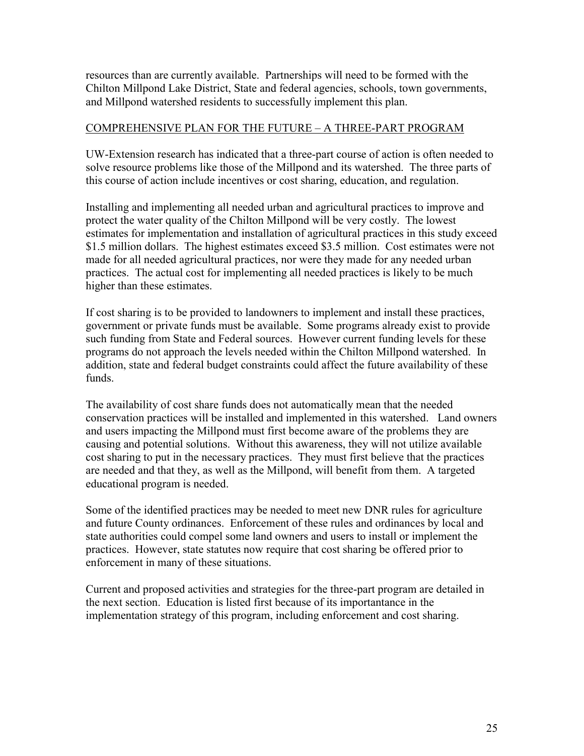<span id="page-26-0"></span>resources than are currently available. Partnerships will need to be formed with the Chilton Millpond Lake District, State and federal agencies, schools, town governments, and Millpond watershed residents to successfully implement this plan.

#### COMPREHENSIVE PLAN FOR THE FUTURE – A THREE-PART PROGRAM

UW-Extension research has indicated that a three-part course of action is often needed to solve resource problems like those of the Millpond and its watershed. The three parts of this course of action include incentives or cost sharing, education, and regulation.

Installing and implementing all needed urban and agricultural practices to improve and protect the water quality of the Chilton Millpond will be very costly. The lowest estimates for implementation and installation of agricultural practices in this study exceed \$1.5 million dollars. The highest estimates exceed \$3.5 million. Cost estimates were not made for all needed agricultural practices, nor were they made for any needed urban practices. The actual cost for implementing all needed practices is likely to be much higher than these estimates.

If cost sharing is to be provided to landowners to implement and install these practices, government or private funds must be available. Some programs already exist to provide such funding from State and Federal sources. However current funding levels for these programs do not approach the levels needed within the Chilton Millpond watershed. In addition, state and federal budget constraints could affect the future availability of these funds.

The availability of cost share funds does not automatically mean that the needed conservation practices will be installed and implemented in this watershed. Land owners and users impacting the Millpond must first become aware of the problems they are causing and potential solutions. Without this awareness, they will not utilize available cost sharing to put in the necessary practices. They must first believe that the practices are needed and that they, as well as the Millpond, will benefit from them. A targeted educational program is needed.

Some of the identified practices may be needed to meet new DNR rules for agriculture and future County ordinances. Enforcement of these rules and ordinances by local and state authorities could compel some land owners and users to install or implement the practices. However, state statutes now require that cost sharing be offered prior to enforcement in many of these situations.

<span id="page-26-1"></span>Current and proposed activities and strategies for the three-part program are detailed in the next section. Education is listed first because of its importantance in the implementation strategy of this program, including enforcement and cost sharing.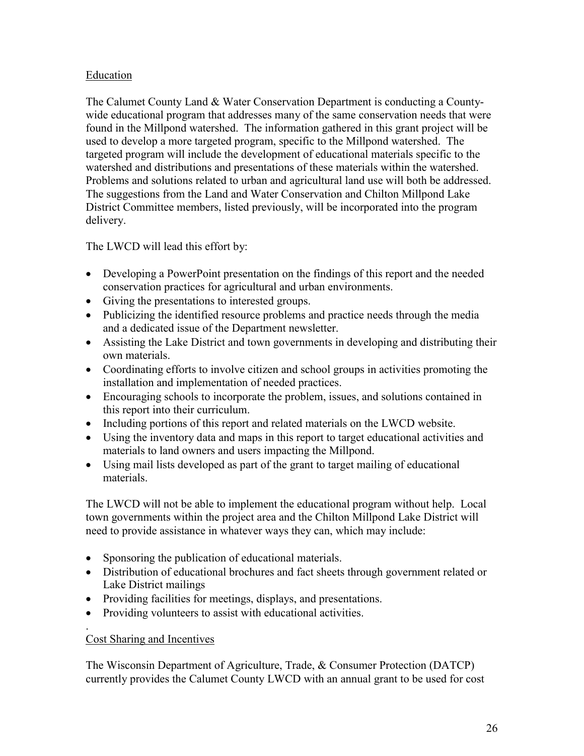#### Education

The Calumet County Land & Water Conservation Department is conducting a Countywide educational program that addresses many of the same conservation needs that were found in the Millpond watershed. The information gathered in this grant project will be used to develop a more targeted program, specific to the Millpond watershed. The targeted program will include the development of educational materials specific to the watershed and distributions and presentations of these materials within the watershed. Problems and solutions related to urban and agricultural land use will both be addressed. The suggestions from the Land and Water Conservation and Chilton Millpond Lake District Committee members, listed previously, will be incorporated into the program delivery.

The LWCD will lead this effort by:

- Developing a PowerPoint presentation on the findings of this report and the needed conservation practices for agricultural and urban environments.
- Giving the presentations to interested groups.
- Publicizing the identified resource problems and practice needs through the media and a dedicated issue of the Department newsletter.
- Assisting the Lake District and town governments in developing and distributing their own materials.
- Coordinating efforts to involve citizen and school groups in activities promoting the installation and implementation of needed practices.
- Encouraging schools to incorporate the problem, issues, and solutions contained in this report into their curriculum.
- Including portions of this report and related materials on the LWCD website.
- Using the inventory data and maps in this report to target educational activities and materials to land owners and users impacting the Millpond.
- Using mail lists developed as part of the grant to target mailing of educational materials.

The LWCD will not be able to implement the educational program without help. Local town governments within the project area and the Chilton Millpond Lake District will need to provide assistance in whatever ways they can, which may include:

- Sponsoring the publication of educational materials.
- Distribution of educational brochures and fact sheets through government related or Lake District mailings
- Providing facilities for meetings, displays, and presentations.
- Providing volunteers to assist with educational activities.

#### Cost Sharing and Incentives

.

The Wisconsin Department of Agriculture, Trade, & Consumer Protection (DATCP) currently provides the Calumet County LWCD with an annual grant to be used for cost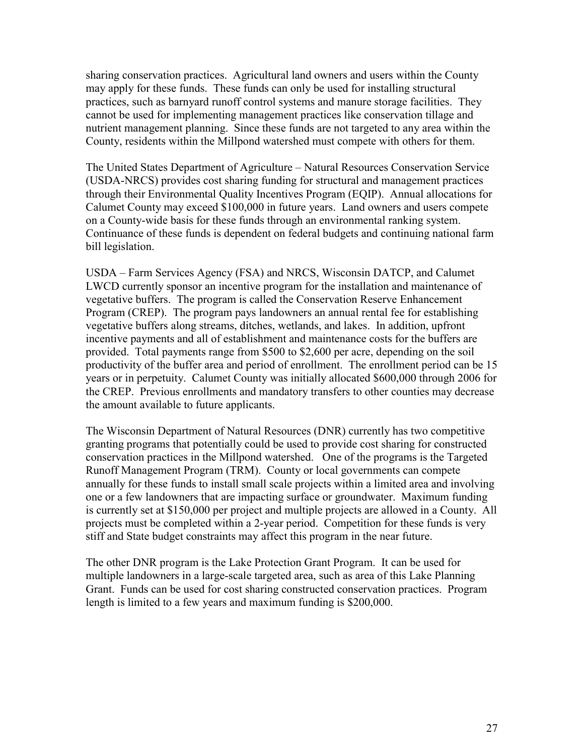sharing conservation practices. Agricultural land owners and users within the County may apply for these funds. These funds can only be used for installing structural practices, such as barnyard runoff control systems and manure storage facilities. They cannot be used for implementing management practices like conservation tillage and nutrient management planning. Since these funds are not targeted to any area within the County, residents within the Millpond watershed must compete with others for them.

The United States Department of Agriculture – Natural Resources Conservation Service (USDA-NRCS) provides cost sharing funding for structural and management practices through their Environmental Quality Incentives Program (EQIP). Annual allocations for Calumet County may exceed \$100,000 in future years. Land owners and users compete on a County-wide basis for these funds through an environmental ranking system. Continuance of these funds is dependent on federal budgets and continuing national farm bill legislation.

<span id="page-28-0"></span>USDA – Farm Services Agency (FSA) and NRCS, Wisconsin DATCP, and Calumet LWCD currently sponsor an incentive program for the installation and maintenance of vegetative buffers. The program is called the Conservation Reserve Enhancement Program (CREP). The program pays landowners an annual rental fee for establishing vegetative buffers along streams, ditches, wetlands, and lakes. In addition, upfront incentive payments and all of establishment and maintenance costs for the buffers are provided. Total payments range from \$500 to \$2,600 per acre, depending on the soil productivity of the buffer area and period of enrollment. The enrollment period can be 15 years or in perpetuity. Calumet County was initially allocated \$600,000 through 2006 for the CREP. Previous enrollments and mandatory transfers to other counties may decrease the amount available to future applicants.

The Wisconsin Department of Natural Resources (DNR) currently has two competitive granting programs that potentially could be used to provide cost sharing for constructed conservation practices in the Millpond watershed. One of the programs is the Targeted Runoff Management Program (TRM). County or local governments can compete annually for these funds to install small scale projects within a limited area and involving one or a few landowners that are impacting surface or groundwater. Maximum funding is currently set at \$150,000 per project and multiple projects are allowed in a County. All projects must be completed within a 2-year period. Competition for these funds is very stiff and State budget constraints may affect this program in the near future.

The other DNR program is the Lake Protection Grant Program. It can be used for multiple landowners in a large-scale targeted area, such as area of this Lake Planning Grant. Funds can be used for cost sharing constructed conservation practices. Program length is limited to a few years and maximum funding is \$200,000.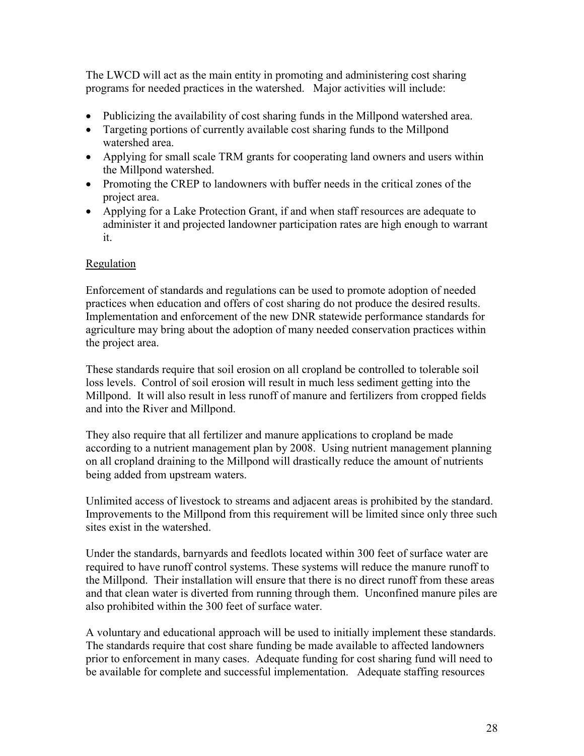The LWCD will act as the main entity in promoting and administering cost sharing programs for needed practices in the watershed. Major activities will include:

- Publicizing the availability of cost sharing funds in the Millpond watershed area.
- Targeting portions of currently available cost sharing funds to the Millpond watershed area.
- Applying for small scale TRM grants for cooperating land owners and users within the Millpond watershed.
- Promoting the CREP to landowners with buffer needs in the critical zones of the project area.
- Applying for a Lake Protection Grant, if and when staff resources are adequate to administer it and projected landowner participation rates are high enough to warrant it.

#### Regulation

Enforcement of standards and regulations can be used to promote adoption of needed practices when education and offers of cost sharing do not produce the desired results. Implementation and enforcement of the new DNR statewide performance standards for agriculture may bring about the adoption of many needed conservation practices within the project area.

These standards require that soil erosion on all cropland be controlled to tolerable soil loss levels. Control of soil erosion will result in much less sediment getting into the Millpond. It will also result in less runoff of manure and fertilizers from cropped fields and into the River and Millpond.

They also require that all fertilizer and manure applications to cropland be made according to a nutrient management plan by 2008. Using nutrient management planning on all cropland draining to the Millpond will drastically reduce the amount of nutrients being added from upstream waters.

Unlimited access of livestock to streams and adjacent areas is prohibited by the standard. Improvements to the Millpond from this requirement will be limited since only three such sites exist in the watershed.

Under the standards, barnyards and feedlots located within 300 feet of surface water are required to have runoff control systems. These systems will reduce the manure runoff to the Millpond. Their installation will ensure that there is no direct runoff from these areas and that clean water is diverted from running through them. Unconfined manure piles are also prohibited within the 300 feet of surface water.

A voluntary and educational approach will be used to initially implement these standards. The standards require that cost share funding be made available to affected landowners prior to enforcement in many cases. Adequate funding for cost sharing fund will need to be available for complete and successful implementation. Adequate staffing resources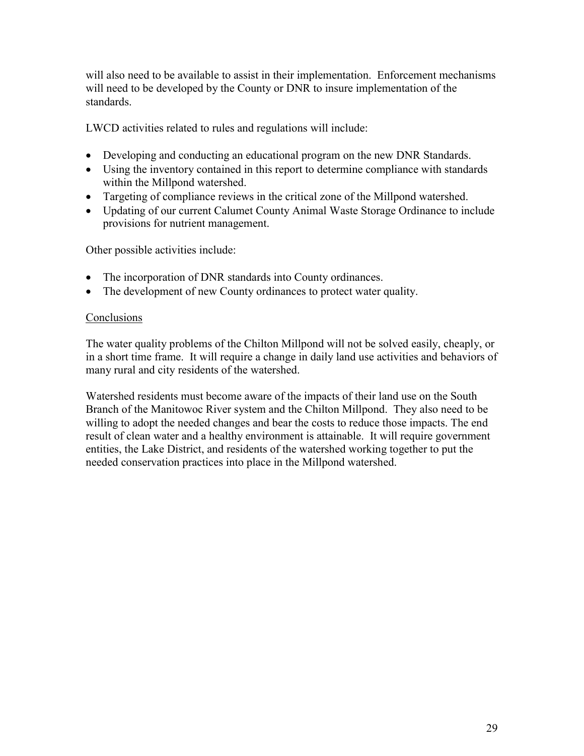will also need to be available to assist in their implementation. Enforcement mechanisms will need to be developed by the County or DNR to insure implementation of the standards.

LWCD activities related to rules and regulations will include:

- Developing and conducting an educational program on the new DNR Standards.
- Using the inventory contained in this report to determine compliance with standards within the Millpond watershed.
- Targeting of compliance reviews in the critical zone of the Millpond watershed.
- Updating of our current Calumet County Animal Waste Storage Ordinance to include provisions for nutrient management.

Other possible activities include:

- The incorporation of DNR standards into County ordinances.
- The development of new County ordinances to protect water quality.

#### **Conclusions**

The water quality problems of the Chilton Millpond will not be solved easily, cheaply, or in a short time frame. It will require a change in daily land use activities and behaviors of many rural and city residents of the watershed.

Watershed residents must become aware of the impacts of their land use on the South Branch of the Manitowoc River system and the Chilton Millpond. They also need to be willing to adopt the needed changes and bear the costs to reduce those impacts. The end result of clean water and a healthy environment is attainable. It will require government entities, the Lake District, and residents of the watershed working together to put the needed conservation practices into place in the Millpond watershed.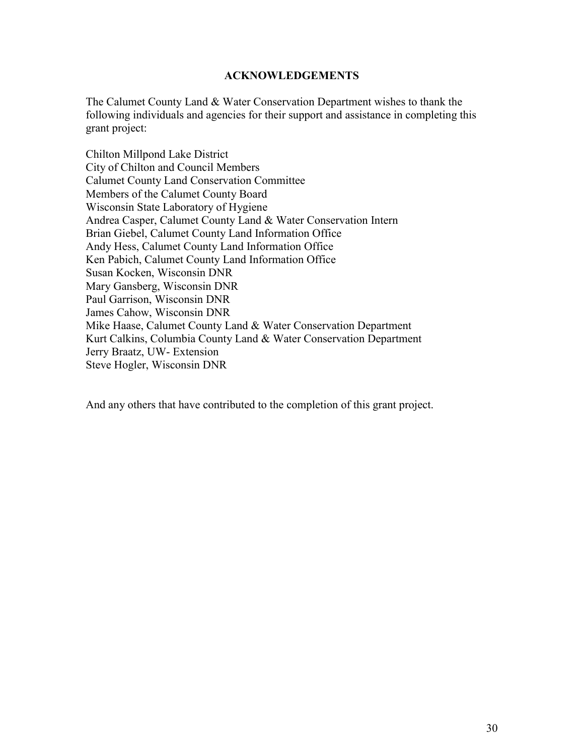#### **ACKNOWLEDGEMENTS**

The Calumet County Land & Water Conservation Department wishes to thank the following individuals and agencies for their support and assistance in completing this grant project:

Chilton Millpond Lake District City of Chilton and Council Members Calumet County Land Conservation Committee Members of the Calumet County Board Wisconsin State Laboratory of Hygiene Andrea Casper, Calumet County Land & Water Conservation Intern Brian Giebel, Calumet County Land Information Office Andy Hess, Calumet County Land Information Office Ken Pabich, Calumet County Land Information Office Susan Kocken, Wisconsin DNR Mary Gansberg, Wisconsin DNR Paul Garrison, Wisconsin DNR James Cahow, Wisconsin DNR Mike Haase, Calumet County Land & Water Conservation Department Kurt Calkins, Columbia County Land & Water Conservation Department Jerry Braatz, UW- Extension Steve Hogler, Wisconsin DNR

And any others that have contributed to the completion of this grant project.